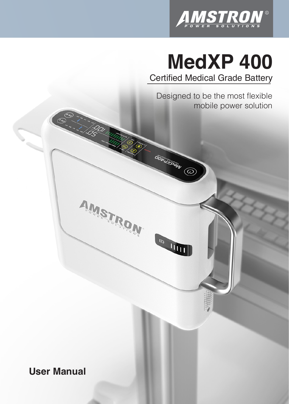

# **MedXP 400** Certified Medical Grade Battery

Designed to be the most flexible mobile power solution

öördzpew (D

**COLLEGE** 

AMSTRON

**User Manual**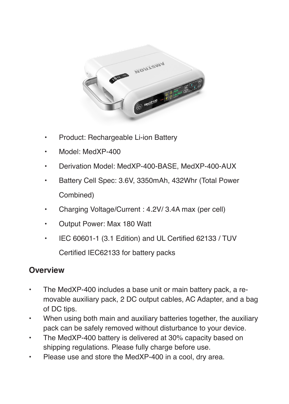

- Product: Rechargeable Li-ion Battery
- Model: MedXP-400
- Derivation Model: MedXP-400-BASE, MedXP-400-AUX
- Battery Cell Spec: 3.6V, 3350mAh, 432Whr (Total Power Combined)
- Charging Voltage/Current : 4.2V/ 3.4A max (per cell)
- Output Power: Max 180 Watt
- IEC 60601-1 (3.1 Edition) and UL Certified 62133 / TUV Certified IEC62133 for battery packs

#### **Overview**

- The MedXP-400 includes a base unit or main battery pack, a removable auxiliary pack, 2 DC output cables, AC Adapter, and a bag of DC tips.
- When using both main and auxiliary batteries together, the auxiliary pack can be safely removed without disturbance to your device.
- The MedXP-400 battery is delivered at 30% capacity based on shipping regulations. Please fully charge before use.
- Please use and store the MedXP-400 in a cool, dry area.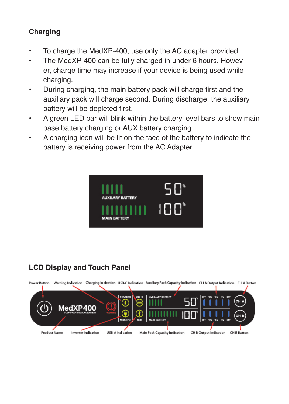#### **Charging**

- To charge the MedXP-400, use only the AC adapter provided.
- The MedXP-400 can be fully charged in under 6 hours. However, charge time may increase if your device is being used while charging.
- During charging, the main battery pack will charge first and the auxiliary pack will charge second. During discharge, the auxiliary battery will be depleted first.
- A green LED bar will blink within the battery level bars to show main base battery charging or AUX battery charging.
- A charging icon will be lit on the face of the battery to indicate the battery is receiving power from the AC Adapter.



## **LCD Display and Touch Panel**

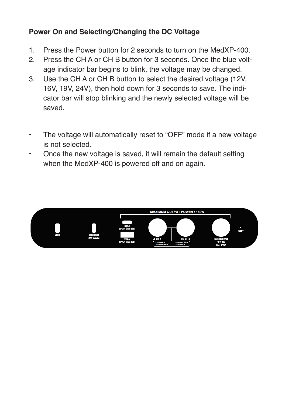#### **Power On and Selecting/Changing the DC Voltage**

- 1. Press the Power button for 2 seconds to turn on the MedXP-400.
- 2. Press the CH A or CH B button for 3 seconds. Once the blue voltage indicator bar begins to blink, the voltage may be changed.
- 3. Use the CH A or CH B button to select the desired voltage (12V, 16V, 19V, 24V), then hold down for 3 seconds to save. The indicator bar will stop blinking and the newly selected voltage will be saved.
- The voltage will automatically reset to "OFF" mode if a new voltage is not selected.
- Once the new voltage is saved, it will remain the default setting when the MedXP-400 is powered off and on again.

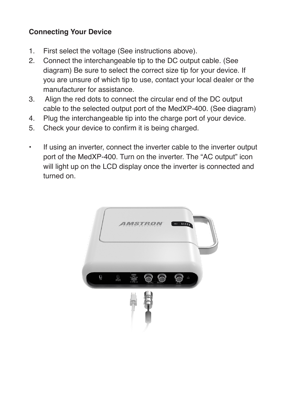#### **Connecting Your Device**

- 1. First select the voltage (See instructions above).
- 2. Connect the interchangeable tip to the DC output cable. (See diagram) Be sure to select the correct size tip for your device. If you are unsure of which tip to use, contact your local dealer or the manufacturer for assistance.
- 3. Align the red dots to connect the circular end of the DC output cable to the selected output port of the MedXP-400. (See diagram)
- 4. Plug the interchangeable tip into the charge port of your device.
- 5. Check your device to confirm it is being charged.
- If using an inverter, connect the inverter cable to the inverter output port of the MedXP-400. Turn on the inverter. The "AC output" icon will light up on the LCD display once the inverter is connected and turned on.

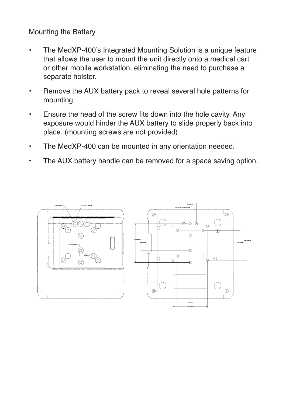Mounting the Battery

- The MedXP-400's Integrated Mounting Solution is a unique feature that allows the user to mount the unit directly onto a medical cart or other mobile workstation, eliminating the need to purchase a separate holster.
- Remove the AUX battery pack to reveal several hole patterns for mounting
- Ensure the head of the screw fits down into the hole cavity. Any exposure would hinder the AUX battery to slide properly back into place. (mounting screws are not provided)
- The MedXP-400 can be mounted in any orientation needed.
- The AUX battery handle can be removed for a space saving option.

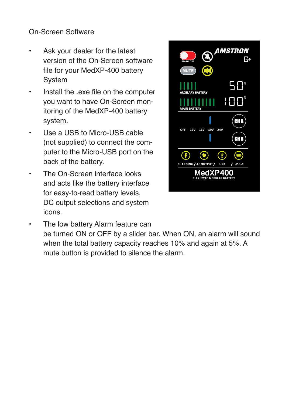On-Screen Software

- Ask your dealer for the latest version of the On-Screen software file for your MedXP-400 battery System
- Install the .exe file on the computer you want to have On-Screen monitoring of the MedXP-400 battery system.
- Use a USB to Micro-USB cable (not supplied) to connect the computer to the Micro-USB port on the back of the battery.
- The On-Screen interface looks and acts like the battery interface for easy-to-read battery levels, DC output selections and system icons.



• The low battery Alarm feature can be turned ON or OFF by a slider bar. When ON, an alarm will sound when the total battery capacity reaches 10% and again at 5%. A mute button is provided to silence the alarm.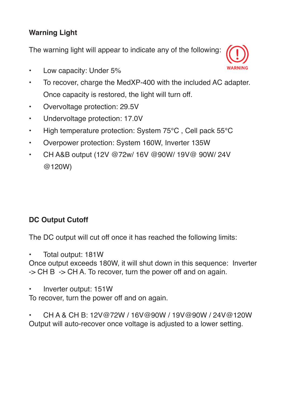## **Warning Light**

The warning light will appear to indicate any of the following:

- Low capacity: Under 5%
- To recover, charge the MedXP-400 with the included AC adapter. Once capacity is restored, the light will turn off.
- Overvoltage protection: 29.5V
- Undervoltage protection: 17.0V
- High temperature protection: System 75°C, Cell pack 55°C
- Overpower protection: System 160W, Inverter 135W
- CH A&B output (12V @72w/ 16V @90W/ 19V@ 90W/ 24V @120W)

#### **DC Output Cutoff**

The DC output will cut off once it has reached the following limits:

• Total output: 181W

Once output exceeds 180W, it will shut down in this sequence: Inverter -> CH B -> CH A. To recover, turn the power off and on again.

• Inverter output: 151W

To recover, turn the power off and on again.

• CH A & CH B: 12V@72W / 16V@90W / 19V@90W / 24V@120W Output will auto-recover once voltage is adjusted to a lower setting.

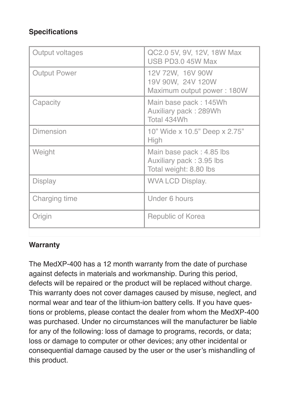## **Specifications**

| Output voltages     | QC2.0 5V, 9V, 12V, 18W Max<br>USB PD3.0 45W Max                                |
|---------------------|--------------------------------------------------------------------------------|
| <b>Output Power</b> | 12V 72W, 16V 90W<br>19V 90W, 24V 120W<br>Maximum output power: 180W            |
| Capacity            | Main base pack: 145Wh<br>Auxiliary pack: 289Wh<br>Total 434Wh                  |
| Dimension           | 10" Wide x 10.5" Deep x 2.75"<br>High                                          |
| Weight              | Main base pack: 4.85 lbs<br>Auxiliary pack: 3.95 lbs<br>Total weight: 8.80 lbs |
| Display             | WVA LCD Display.                                                               |
| Charging time       | Under 6 hours                                                                  |
| Origin              | Republic of Korea                                                              |
|                     |                                                                                |

#### **Warranty**

The MedXP-400 has a 12 month warranty from the date of purchase against defects in materials and workmanship. During this period, defects will be repaired or the product will be replaced without charge. This warranty does not cover damages caused by misuse, neglect, and normal wear and tear of the lithium-ion battery cells. If you have questions or problems, please contact the dealer from whom the MedXP-400 was purchased. Under no circumstances will the manufacturer be liable for any of the following: loss of damage to programs, records, or data; loss or damage to computer or other devices; any other incidental or consequential damage caused by the user or the user's mishandling of this product.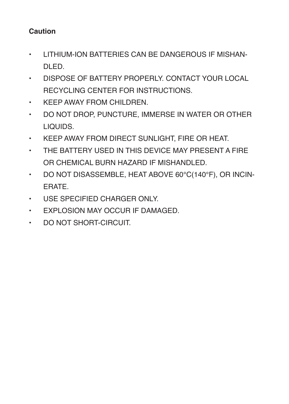#### **Caution**

- LITHIUM-ION BATTERIES CAN BE DANGEROUS IF MISHAN-DLED.
- DISPOSE OF BATTERY PROPERLY. CONTACT YOUR LOCAL RECYCLING CENTER FOR INSTRUCTIONS.
- KEEP AWAY FROM CHILDREN.
- DO NOT DROP, PUNCTURE, IMMERSE IN WATER OR OTHER LIQUIDS.
- KEEP AWAY FROM DIRECT SUNLIGHT, FIRE OR HEAT.
- THE BATTERY USED IN THIS DEVICE MAY PRESENT A FIRE OR CHEMICAL BURN HAZARD IF MISHANDLED.
- DO NOT DISASSEMBLE, HEAT ABOVE 60°C(140°F), OR INCIN-ERATE.
- USE SPECIFIED CHARGER ONLY.
- EXPLOSION MAY OCCUR IF DAMAGED.
- DO NOT SHORT-CIRCUIT.